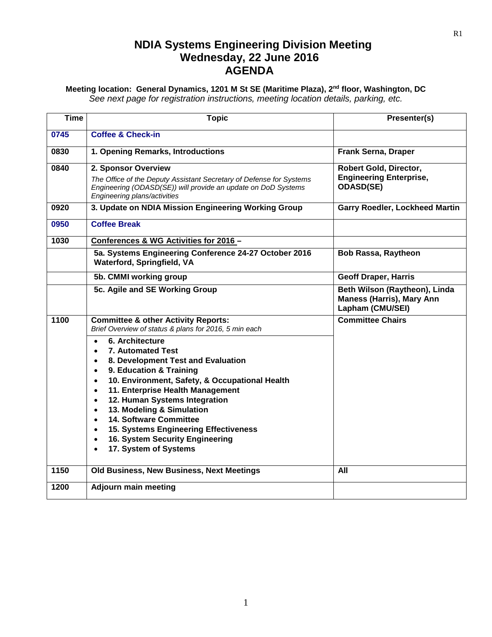## **NDIA Systems Engineering Division Meeting Wednesday, 22 June 2016 AGENDA**

## **Meeting location: General Dynamics, 1201 M St SE (Maritime Plaza), 2nd floor, Washington, DC** *See next page for registration instructions, meeting location details, parking, etc.*

| <b>Time</b> |                                                                                                                                                                                                                                                                                                                                                                                                                                                                                                                                   |                                                                                       |
|-------------|-----------------------------------------------------------------------------------------------------------------------------------------------------------------------------------------------------------------------------------------------------------------------------------------------------------------------------------------------------------------------------------------------------------------------------------------------------------------------------------------------------------------------------------|---------------------------------------------------------------------------------------|
|             | <b>Topic</b>                                                                                                                                                                                                                                                                                                                                                                                                                                                                                                                      | Presenter(s)                                                                          |
| 0745        | <b>Coffee &amp; Check-in</b>                                                                                                                                                                                                                                                                                                                                                                                                                                                                                                      |                                                                                       |
| 0830        | 1. Opening Remarks, Introductions                                                                                                                                                                                                                                                                                                                                                                                                                                                                                                 | Frank Serna, Draper                                                                   |
| 0840        | 2. Sponsor Overview                                                                                                                                                                                                                                                                                                                                                                                                                                                                                                               | Robert Gold, Director,                                                                |
|             | The Office of the Deputy Assistant Secretary of Defense for Systems<br>Engineering (ODASD(SE)) will provide an update on DoD Systems<br>Engineering plans/activities                                                                                                                                                                                                                                                                                                                                                              | <b>Engineering Enterprise,</b><br><b>ODASD(SE)</b>                                    |
| 0920        | 3. Update on NDIA Mission Engineering Working Group                                                                                                                                                                                                                                                                                                                                                                                                                                                                               | <b>Garry Roedler, Lockheed Martin</b>                                                 |
| 0950        | <b>Coffee Break</b>                                                                                                                                                                                                                                                                                                                                                                                                                                                                                                               |                                                                                       |
| 1030        | Conferences & WG Activities for 2016 -                                                                                                                                                                                                                                                                                                                                                                                                                                                                                            |                                                                                       |
|             | 5a. Systems Engineering Conference 24-27 October 2016<br>Waterford, Springfield, VA                                                                                                                                                                                                                                                                                                                                                                                                                                               | <b>Bob Rassa, Raytheon</b>                                                            |
|             | 5b. CMMI working group                                                                                                                                                                                                                                                                                                                                                                                                                                                                                                            | <b>Geoff Draper, Harris</b>                                                           |
|             | 5c. Agile and SE Working Group                                                                                                                                                                                                                                                                                                                                                                                                                                                                                                    | Beth Wilson (Raytheon), Linda<br><b>Maness (Harris), Mary Ann</b><br>Lapham (CMU/SEI) |
| 1100        | <b>Committee &amp; other Activity Reports:</b><br>Brief Overview of status & plans for 2016, 5 min each                                                                                                                                                                                                                                                                                                                                                                                                                           | <b>Committee Chairs</b>                                                               |
|             | 6. Architecture<br>$\bullet$<br><b>7. Automated Test</b><br>8. Development Test and Evaluation<br>$\bullet$<br>9. Education & Training<br>$\bullet$<br>10. Environment, Safety, & Occupational Health<br>$\bullet$<br>11. Enterprise Health Management<br>$\bullet$<br>12. Human Systems Integration<br>$\bullet$<br>13. Modeling & Simulation<br>$\bullet$<br>14. Software Committee<br>$\bullet$<br>15. Systems Engineering Effectiveness<br>$\bullet$<br>16. System Security Engineering<br>$\bullet$<br>17. System of Systems |                                                                                       |
| 1150        | Old Business, New Business, Next Meetings                                                                                                                                                                                                                                                                                                                                                                                                                                                                                         | All                                                                                   |
| 1200        | <b>Adjourn main meeting</b>                                                                                                                                                                                                                                                                                                                                                                                                                                                                                                       |                                                                                       |